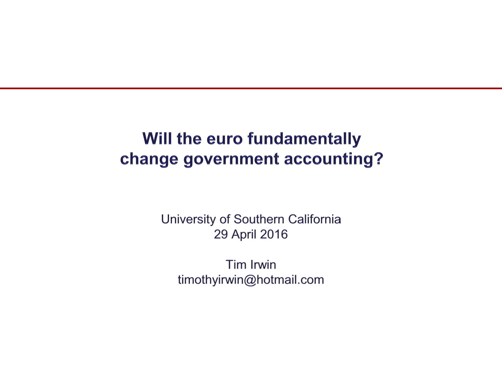## Will the euro fundamentally change government accounting?

University of Southern California 29 April 2016

Tim Irwin timothyirwin@hotmail.com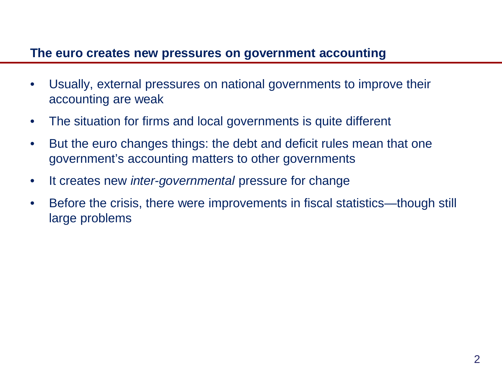#### **The euro creates new pressures on government accounting**

- Usually, external pressures on national governments to improve their accounting are weak
- The situation for firms and local governments is quite different
- But the euro changes things: the debt and deficit rules mean that one government's accounting matters to other governments
- It creates new *inter-governmental* pressure for change
- Before the crisis, there were improvements in fiscal statistics—though still large problems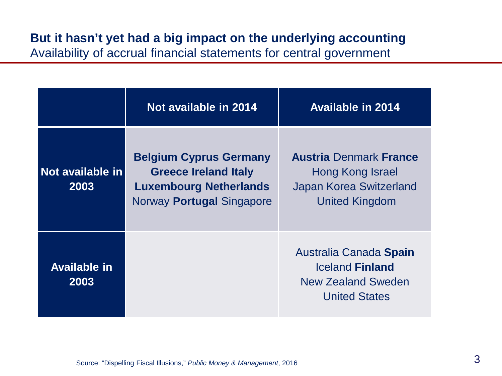# **But it hasn't yet had a big impact on the underlying accounting**

Availability of accrual financial statements for central government

|                             | Not available in 2014                                                                                                      | <b>Available in 2014</b>                                                                                     |
|-----------------------------|----------------------------------------------------------------------------------------------------------------------------|--------------------------------------------------------------------------------------------------------------|
| Not available in<br>2003    | <b>Belgium Cyprus Germany</b><br><b>Greece Ireland Italy</b><br><b>Luxembourg Netherlands</b><br>Norway Portugal Singapore | <b>Austria Denmark France</b><br>Hong Kong Israel<br><b>Japan Korea Switzerland</b><br><b>United Kingdom</b> |
| <b>Available in</b><br>2003 |                                                                                                                            | Australia Canada Spain<br><b>Iceland Finland</b><br><b>New Zealand Sweden</b><br><b>United States</b>        |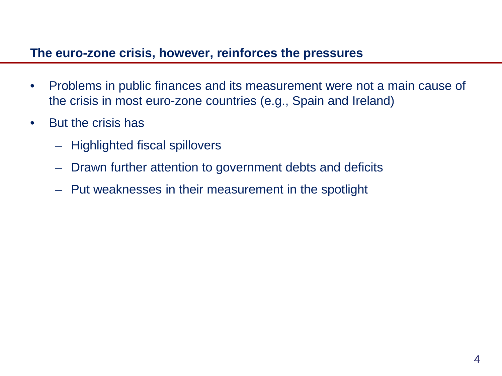#### **The euro-zone crisis, however, reinforces the pressures**

- Problems in public finances and its measurement were not a main cause of the crisis in most euro-zone countries (e.g., Spain and Ireland)
- But the crisis has
	- Highlighted fiscal spillovers
	- Drawn further attention to government debts and deficits
	- Put weaknesses in their measurement in the spotlight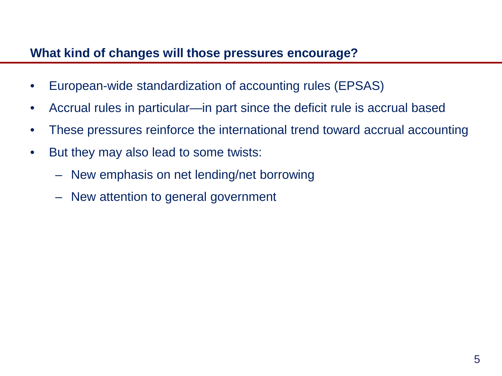### **What kind of changes will those pressures encourage?**

- European-wide standardization of accounting rules (EPSAS)
- Accrual rules in particular—in part since the deficit rule is accrual based
- These pressures reinforce the international trend toward accrual accounting
- But they may also lead to some twists:
	- New emphasis on net lending/net borrowing
	- New attention to general government